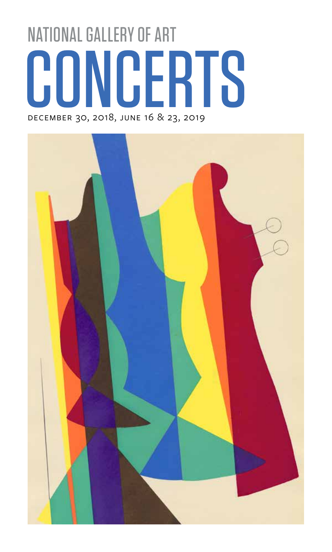# CONCERTS NATIONAL GALLERY OF ART

december 30, 2018, june 16 & 23, 2019

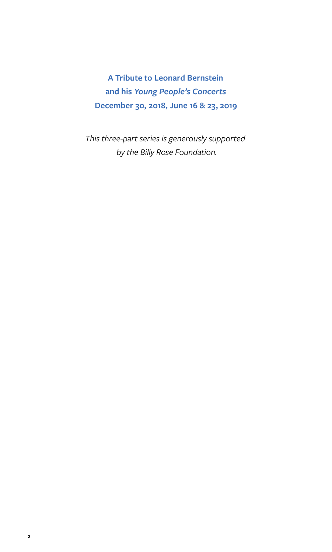**A Tribute to Leonard Bernstein and his** *Young People's Concerts* **December 30, 2018, June 16 & 23, 2019**

*This three-part series is generously supported by the Billy Rose Foundation.*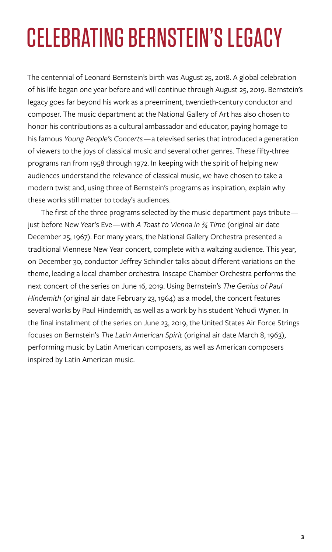## CELEBRATING BERNSTEIN'S LEGACY

The centennial of Leonard Bernstein's birth was August 25, 2018. A global celebration of his life began one year before and will continue through August 25, 2019. Bernstein's legacy goes far beyond his work as a preeminent, twentieth-century conductor and composer. The music department at the National Gallery of Art has also chosen to honor his contributions as a cultural ambassador and educator, paying homage to his famous *Young People's Concerts*— a televised series that introduced a generation of viewers to the joys of classical music and several other genres. These fifty-three programs ran from 1958 through 1972. In keeping with the spirit of helping new audiences understand the relevance of classical music, we have chosen to take a modern twist and, using three of Bernstein's programs as inspiration, explain why these works still matter to today's audiences.

The first of the three programs selected by the music department pays tribute just before New Year's Eve— with *A Toast to Vienna in ¾ Time* (original air date December 25, 1967). For many years, the National Gallery Orchestra presented a traditional Viennese New Year concert, complete with a waltzing audience. This year, on December 30, conductor Jeffrey Schindler talks about different variations on the theme, leading a local chamber orchestra. Inscape Chamber Orchestra performs the next concert of the series on June 16, 2019. Using Bernstein's *The Genius of Paul Hindemith* (original air date February 23, 1964) as a model, the concert features several works by Paul Hindemith, as well as a work by his student Yehudi Wyner. In the final installment of the series on June 23, 2019, the United States Air Force Strings focuses on Bernstein's *The Latin American Spirit* (original air date March 8, 1963), performing music by Latin American composers, as well as American composers inspired by Latin American music.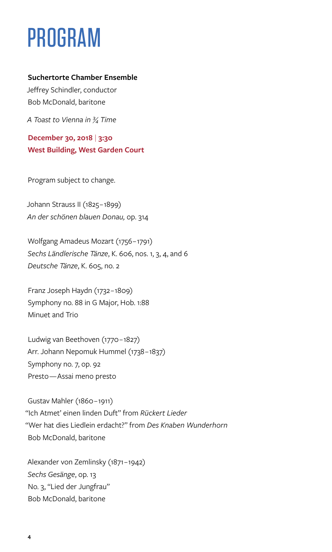### PROGRAM

#### **Suchertorte Chamber Ensemble**

Jeffrey Schindler, conductor Bob McDonald, baritone

*A Toast to Vienna in ¾ Time*

**December 30, 2018** | **3:30 West Building, West Garden Court**

Program subject to change.

Johann Strauss II (1825-1899) *An der schönen blauen Donau,* op. 314

Wolfgang Amadeus Mozart (1756 – 1791) *Sechs Ländlerische Tänze*, K. 606, nos. 1, 3, 4, and 6 *Deutsche Tänze*, K. 605, no. 2

Franz Joseph Haydn (1732 – 1809) Symphony no. 88 in G Major, Hob. 1:88 Minuet and Trio

Ludwig van Beethoven (1770 – 1827) Arr. Johann Nepomuk Hummel (1738 – 1837) Symphony no. 7, op. 92 Presto — Assai meno presto

Gustav Mahler (1860 – 1911) "Ich Atmet' einen linden Duft" from *Rückert Lieder* "Wer hat dies Liedlein erdacht?" from *Des Knaben Wunderhorn* Bob McDonald, baritone

Alexander von Zemlinsky (1871 – 1942) *Sechs Gesänge*, op. 13 No. 3, "Lied der Jungfrau" Bob McDonald, baritone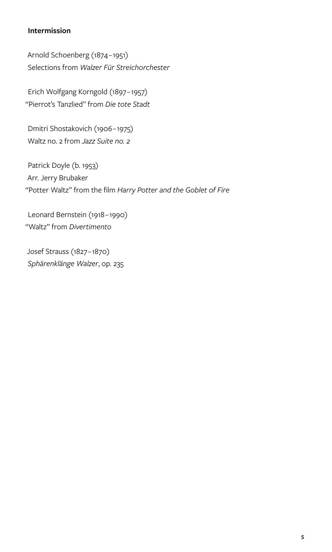#### **Intermission**

Arnold Schoenberg (1874 – 1951) Selections from *Walzer Für Streichorchester*

Erich Wolfgang Korngold (1897 – 1957) "Pierrot's Tanzlied" from *Die tote Stadt* 

Dmitri Shostakovich (1906 – 1975) Waltz no. 2 from *Jazz Suite no. 2* 

Patrick Doyle (b. 1953) Arr. Jerry Brubaker "Potter Waltz" from the film *Harry Potter and the Goblet of Fire*

Leonard Bernstein (1918 – 1990) "Waltz" from *Divertimento*

Josef Strauss (1827 – 1870) *Sphärenklänge Walzer*, op. 235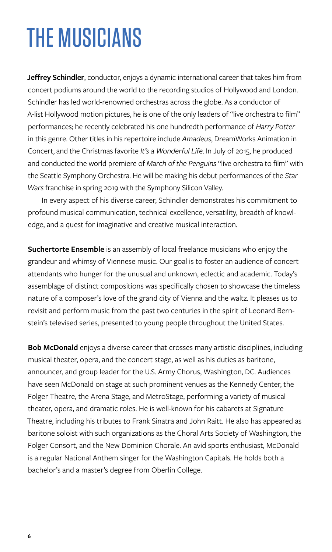### THE MUSICIANS

**Jeffrey Schindler**, conductor, enjoys a dynamic international career that takes him from concert podiums around the world to the recording studios of Hollywood and London. Schindler has led world-renowned orchestras across the globe. As a conductor of A-list Hollywood motion pictures, he is one of the only leaders of "live orchestra to film" performances; he recently celebrated his one hundredth performance of *Harry Potter* in this genre. Other titles in his repertoire include *Amadeus*, DreamWorks Animation in Concert, and the Christmas favorite *It's a Wonderful Life*. In July of 2015, he produced and conducted the world premiere of *March of the Penguins* "live orchestra to film" with the Seattle Symphony Orchestra. He will be making his debut performances of the *Star Wars* franchise in spring 2019 with the Symphony Silicon Valley.

In every aspect of his diverse career, Schindler demonstrates his commitment to profound musical communication, technical excellence, versatility, breadth of knowledge, and a quest for imaginative and creative musical interaction.

**Suchertorte Ensemble** is an assembly of local freelance musicians who enjoy the grandeur and whimsy of Viennese music. Our goal is to foster an audience of concert attendants who hunger for the unusual and unknown, eclectic and academic. Today's assemblage of distinct compositions was specifically chosen to showcase the timeless nature of a composer's love of the grand city of Vienna and the waltz. It pleases us to revisit and perform music from the past two centuries in the spirit of Leonard Bernstein's televised series, presented to young people throughout the United States.

**Bob McDonald** enjoys a diverse career that crosses many artistic disciplines, including musical theater, opera, and the concert stage, as well as his duties as baritone, announcer, and group leader for the U.S. Army Chorus, Washington, DC. Audiences have seen McDonald on stage at such prominent venues as the Kennedy Center, the Folger Theatre, the Arena Stage, and MetroStage, performing a variety of musical theater, opera, and dramatic roles. He is well-known for his cabarets at Signature Theatre, including his tributes to Frank Sinatra and John Raitt. He also has appeared as baritone soloist with such organizations as the Choral Arts Society of Washington, the Folger Consort, and the New Dominion Chorale. An avid sports enthusiast, McDonald is a regular National Anthem singer for the Washington Capitals. He holds both a bachelor's and a master's degree from Oberlin College.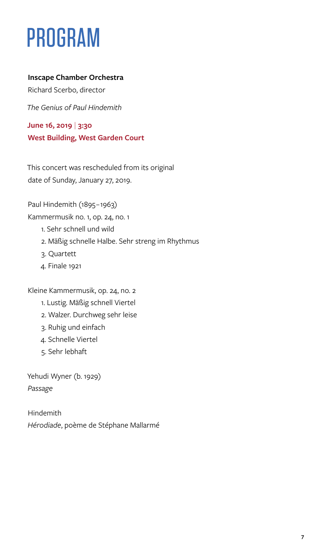### PROGRAM

#### **Inscape Chamber Orchestra**

Richard Scerbo, director

*The Genius of Paul Hindemith*

**June 16, 2019** | **3:30 West Building, West Garden Court**

This concert was rescheduled from its original date of Sunday, January 27, 2019.

Paul Hindemith (1895-1963)

Kammermusik no. 1, op. 24, no. 1

- 1. Sehr schnell und wild
- 2. Mäßig schnelle Halbe. Sehr streng im Rhythmus
- 3. Quartett
- 4. Finale 1921

Kleine Kammermusik, op. 24, no. 2

- 1. Lustig. Mäßig schnell Viertel
- 2. Walzer. Durchweg sehr leise
- 3. Ruhig und einfach
- 4. Schnelle Viertel
- 5. Sehr lebhaft

Yehudi Wyner (b. 1929) *Passage* 

Hindemith *Hérodiade*, poème de Stéphane Mallarmé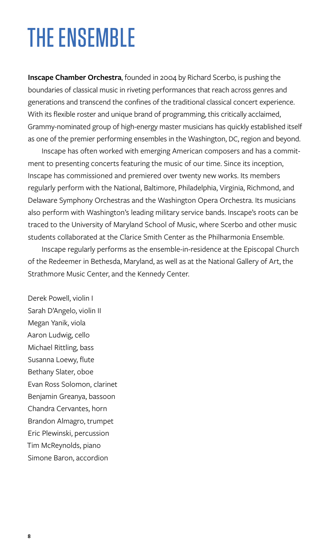### THE ENSEMBLE

**Inscape Chamber Orchestra**, founded in 2004 by Richard Scerbo, is pushing the boundaries of classical music in riveting performances that reach across genres and generations and transcend the confines of the traditional classical concert experience. With its flexible roster and unique brand of programming, this critically acclaimed, Grammy-nominated group of high-energy master musicians has quickly established itself as one of the premier performing ensembles in the Washington, DC, region and beyond.

Inscape has often worked with emerging American composers and has a commitment to presenting concerts featuring the music of our time. Since its inception, Inscape has commissioned and premiered over twenty new works. Its members regularly perform with the National, Baltimore, Philadelphia, Virginia, Richmond, and Delaware Symphony Orchestras and the Washington Opera Orchestra. Its musicians also perform with Washington's leading military service bands. Inscape's roots can be traced to the University of Maryland School of Music, where Scerbo and other music students collaborated at the Clarice Smith Center as the Philharmonia Ensemble.

Inscape regularly performs as the ensemble-in-residence at the Episcopal Church of the Redeemer in Bethesda, Maryland, as well as at the National Gallery of Art, the Strathmore Music Center, and the Kennedy Center.

Derek Powell, violin I Sarah D'Angelo, violin II Megan Yanik, viola Aaron Ludwig, cello Michael Rittling, bass Susanna Loewy, flute Bethany Slater, oboe Evan Ross Solomon, clarinet Benjamin Greanya, bassoon Chandra Cervantes, horn Brandon Almagro, trumpet Eric Plewinski, percussion Tim McReynolds, piano Simone Baron, accordion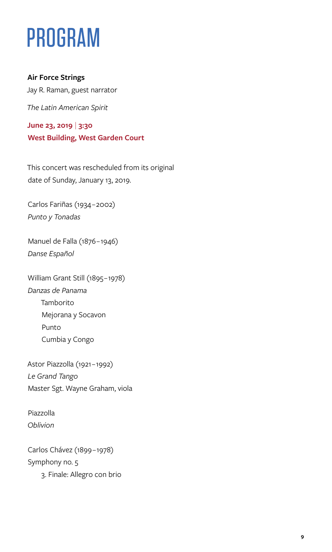### PROGRAM

#### **Air Force Strings**

Jay R. Raman, guest narrator

*The Latin American Spirit*

**June 23, 2019** | **3:30 West Building, West Garden Court**

This concert was rescheduled from its original date of Sunday, January 13, 2019.

Carlos Fariñas (1934 – 2002) *Punto y Tonadas*

Manuel de Falla (1876 – 1946) *Danse Español*

William Grant Still (1895-1978) *Danzas de Panama* Tamborito Mejorana y Socavon Punto Cumbia y Congo

Astor Piazzolla (1921 – 1992) *Le Grand Tango* Master Sgt. Wayne Graham, viola

Piazzolla *Oblivion*

Carlos Chávez (1899 – 1978) Symphony no. 5 3. Finale: Allegro con brio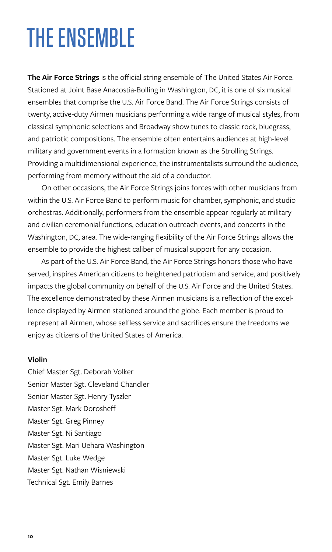### THE ENSEMBLE

**The Air Force Strings** is the official string ensemble of The United States Air Force. Stationed at Joint Base Anacostia-Bolling in Washington, DC, it is one of six musical ensembles that comprise the U.S. Air Force Band. The Air Force Strings consists of twenty, active-duty Airmen musicians performing a wide range of musical styles, from classical symphonic selections and Broadway show tunes to classic rock, bluegrass, and patriotic compositions. The ensemble often entertains audiences at high-level military and government events in a formation known as the Strolling Strings. Providing a multidimensional experience, the instrumentalists surround the audience, performing from memory without the aid of a conductor.

On other occasions, the Air Force Strings joins forces with other musicians from within the U.S. Air Force Band to perform music for chamber, symphonic, and studio orchestras. Additionally, performers from the ensemble appear regularly at military and civilian ceremonial functions, education outreach events, and concerts in the Washington, DC, area. The wide-ranging flexibility of the Air Force Strings allows the ensemble to provide the highest caliber of musical support for any occasion.

As part of the U.S. Air Force Band, the Air Force Strings honors those who have served, inspires American citizens to heightened patriotism and service, and positively impacts the global community on behalf of the U.S. Air Force and the United States. The excellence demonstrated by these Airmen musicians is a reflection of the excellence displayed by Airmen stationed around the globe. Each member is proud to represent all Airmen, whose selfless service and sacrifices ensure the freedoms we enjoy as citizens of the United States of America.

#### **Violin**

Chief Master Sgt. Deborah Volker Senior Master Sgt. Cleveland Chandler Senior Master Sgt. Henry Tyszler Master Sgt. Mark Dorosheff Master Sgt. Greg Pinney Master Sgt. Ni Santiago Master Sgt. Mari Uehara Washington Master Sgt. Luke Wedge Master Sgt. Nathan Wisniewski Technical Sgt. Emily Barnes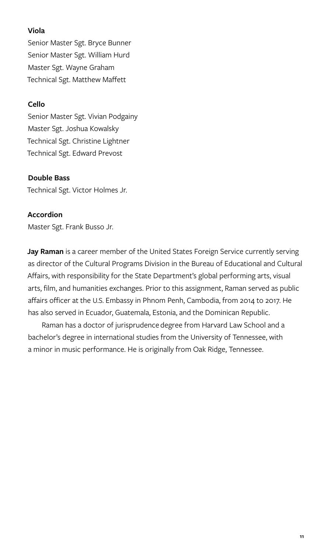#### **Viola**

Senior Master Sgt. Bryce Bunner Senior Master Sgt. William Hurd Master Sgt. Wayne Graham Technical Sgt. Matthew Maffett

#### **Cello**

Senior Master Sgt. Vivian Podgainy Master Sgt. Joshua Kowalsky Technical Sgt. Christine Lightner Technical Sgt. Edward Prevost

#### **Double Bass**

Technical Sgt. Victor Holmes Jr.

#### **Accordion**

Master Sgt. Frank Busso Jr.

**Jay Raman** is a career member of the United States Foreign Service currently serving as director of the Cultural Programs Division in the Bureau of Educational and Cultural Affairs, with responsibility for the State Department's global performing arts, visual arts, film, and humanities exchanges. Prior to this assignment, Raman served as public affairs officer at the U.S. Embassy in Phnom Penh, Cambodia, from 2014 to 2017. He has also served in Ecuador, Guatemala, Estonia, and the Dominican Republic.

Raman has a doctor of jurisprudence degree from Harvard Law School and a bachelor's degree in international studies from the University of Tennessee, with a minor in music performance. He is originally from Oak Ridge, Tennessee.